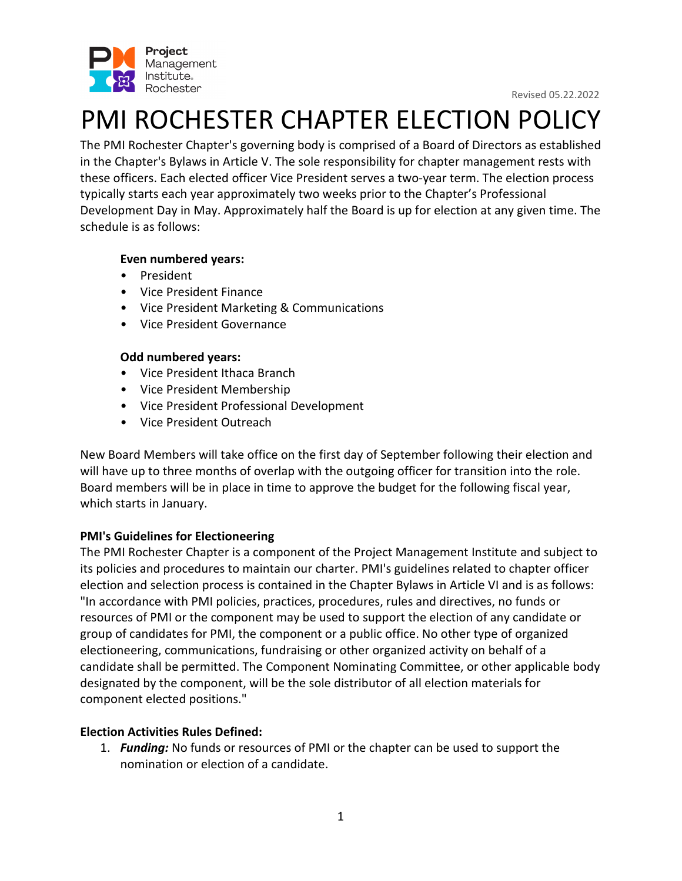

# PMI ROCHESTER CHAPTER ELECTION POLICY

The PMI Rochester Chapter's governing body is comprised of a Board of Directors as established in the Chapter's Bylaws in Article V. The sole responsibility for chapter management rests with these officers. Each elected officer Vice President serves a two-year term. The election process typically starts each year approximately two weeks prior to the Chapter's Professional Development Day in May. Approximately half the Board is up for election at any given time. The schedule is as follows:

# **Even numbered years:**

- President
- Vice President Finance
- Vice President Marketing & Communications
- Vice President Governance

# **Odd numbered years:**

- Vice President Ithaca Branch
- Vice President Membership
- Vice President Professional Development
- Vice President Outreach

New Board Members will take office on the first day of September following their election and will have up to three months of overlap with the outgoing officer for transition into the role. Board members will be in place in time to approve the budget for the following fiscal year, which starts in January.

# **PMI's Guidelines for Electioneering**

The PMI Rochester Chapter is a component of the Project Management Institute and subject to its policies and procedures to maintain our charter. PMI's guidelines related to chapter officer election and selection process is contained in the Chapter Bylaws in Article VI and is as follows: "In accordance with PMI policies, practices, procedures, rules and directives, no funds or resources of PMI or the component may be used to support the election of any candidate or group of candidates for PMI, the component or a public office. No other type of organized electioneering, communications, fundraising or other organized activity on behalf of a candidate shall be permitted. The Component Nominating Committee, or other applicable body designated by the component, will be the sole distributor of all election materials for component elected positions."

# **Election Activities Rules Defined:**

1. *Funding:* No funds or resources of PMI or the chapter can be used to support the nomination or election of a candidate.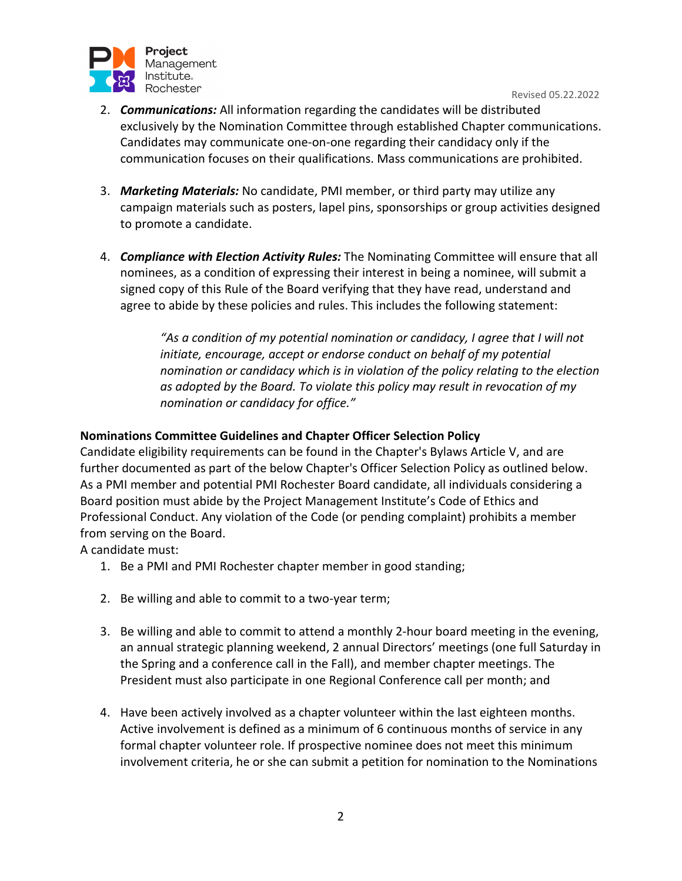

- 2. *Communications:* All information regarding the candidates will be distributed exclusively by the Nomination Committee through established Chapter communications. Candidates may communicate one-on-one regarding their candidacy only if the communication focuses on their qualifications. Mass communications are prohibited.
- 3. *Marketing Materials:* No candidate, PMI member, or third party may utilize any campaign materials such as posters, lapel pins, sponsorships or group activities designed to promote a candidate.
- 4. *Compliance with Election Activity Rules:* The Nominating Committee will ensure that all nominees, as a condition of expressing their interest in being a nominee, will submit a signed copy of this Rule of the Board verifying that they have read, understand and agree to abide by these policies and rules. This includes the following statement:

*"As a condition of my potential nomination or candidacy, I agree that I will not initiate, encourage, accept or endorse conduct on behalf of my potential nomination or candidacy which is in violation of the policy relating to the election as adopted by the Board. To violate this policy may result in revocation of my nomination or candidacy for office."* 

# **Nominations Committee Guidelines and Chapter Officer Selection Policy**

Candidate eligibility requirements can be found in the Chapter's Bylaws Article V, and are further documented as part of the below Chapter's Officer Selection Policy as outlined below. As a PMI member and potential PMI Rochester Board candidate, all individuals considering a Board position must abide by the Project Management Institute's Code of Ethics and Professional Conduct. Any violation of the Code (or pending complaint) prohibits a member from serving on the Board.

A candidate must:

- 1. Be a PMI and PMI Rochester chapter member in good standing;
- 2. Be willing and able to commit to a two-year term;
- 3. Be willing and able to commit to attend a monthly 2-hour board meeting in the evening, an annual strategic planning weekend, 2 annual Directors' meetings (one full Saturday in the Spring and a conference call in the Fall), and member chapter meetings. The President must also participate in one Regional Conference call per month; and
- 4. Have been actively involved as a chapter volunteer within the last eighteen months. Active involvement is defined as a minimum of 6 continuous months of service in any formal chapter volunteer role. If prospective nominee does not meet this minimum involvement criteria, he or she can submit a petition for nomination to the Nominations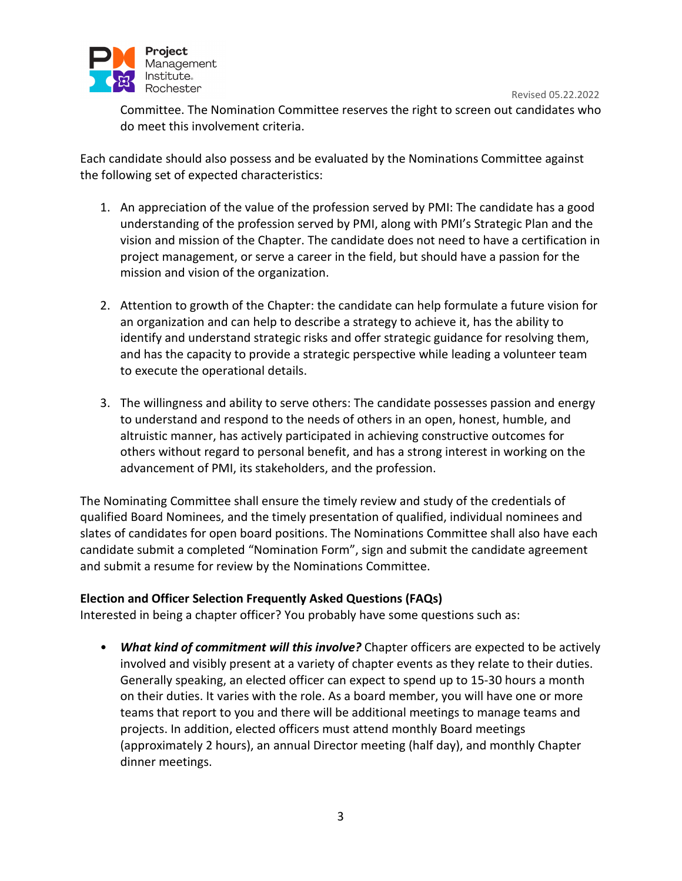

Committee. The Nomination Committee reserves the right to screen out candidates who do meet this involvement criteria.

Each candidate should also possess and be evaluated by the Nominations Committee against the following set of expected characteristics:

- 1. An appreciation of the value of the profession served by PMI: The candidate has a good understanding of the profession served by PMI, along with PMI's Strategic Plan and the vision and mission of the Chapter. The candidate does not need to have a certification in project management, or serve a career in the field, but should have a passion for the mission and vision of the organization.
- 2. Attention to growth of the Chapter: the candidate can help formulate a future vision for an organization and can help to describe a strategy to achieve it, has the ability to identify and understand strategic risks and offer strategic guidance for resolving them, and has the capacity to provide a strategic perspective while leading a volunteer team to execute the operational details.
- 3. The willingness and ability to serve others: The candidate possesses passion and energy to understand and respond to the needs of others in an open, honest, humble, and altruistic manner, has actively participated in achieving constructive outcomes for others without regard to personal benefit, and has a strong interest in working on the advancement of PMI, its stakeholders, and the profession.

The Nominating Committee shall ensure the timely review and study of the credentials of qualified Board Nominees, and the timely presentation of qualified, individual nominees and slates of candidates for open board positions. The Nominations Committee shall also have each candidate submit a completed "Nomination Form", sign and submit the candidate agreement and submit a resume for review by the Nominations Committee.

# **Election and Officer Selection Frequently Asked Questions (FAQs)**

Interested in being a chapter officer? You probably have some questions such as:

• *What kind of commitment will this involve?* Chapter officers are expected to be actively involved and visibly present at a variety of chapter events as they relate to their duties. Generally speaking, an elected officer can expect to spend up to 15-30 hours a month on their duties. It varies with the role. As a board member, you will have one or more teams that report to you and there will be additional meetings to manage teams and projects. In addition, elected officers must attend monthly Board meetings (approximately 2 hours), an annual Director meeting (half day), and monthly Chapter dinner meetings.